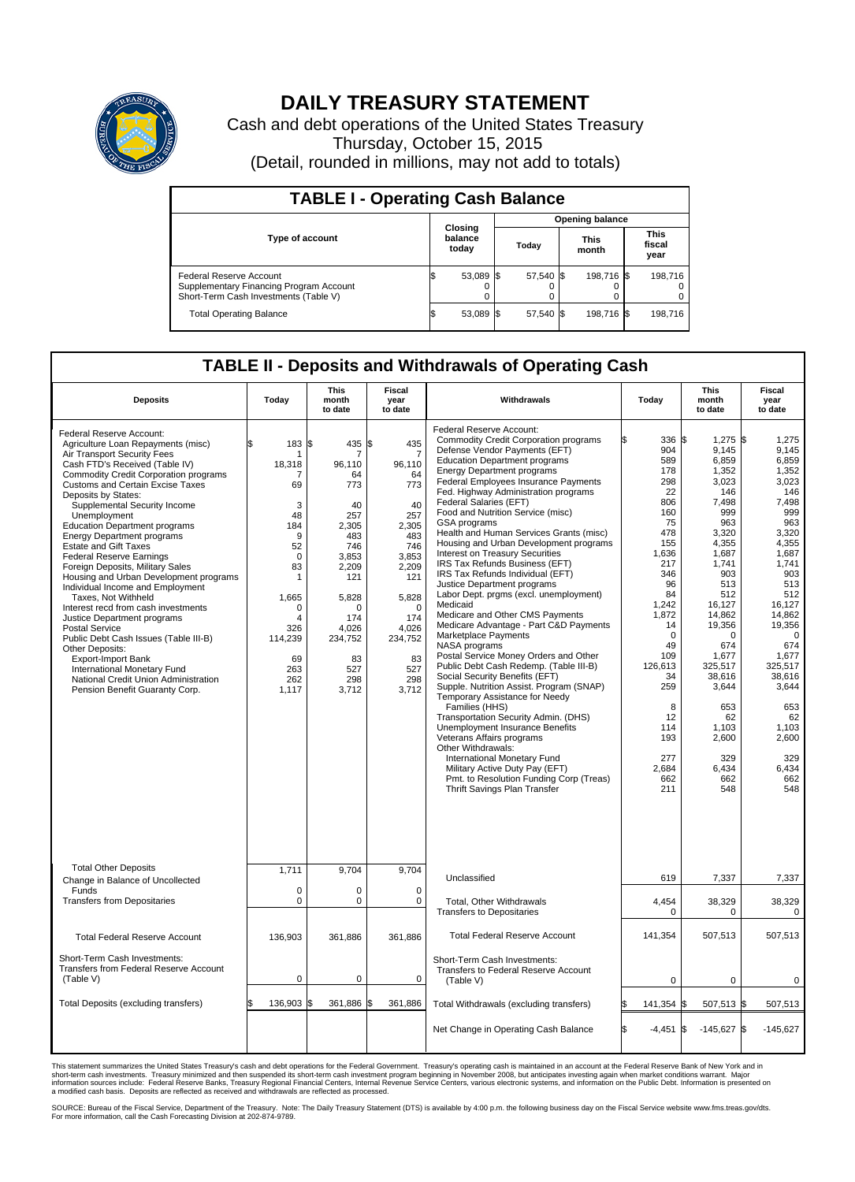

## **DAILY TREASURY STATEMENT**

Cash and debt operations of the United States Treasury Thursday, October 15, 2015 (Detail, rounded in millions, may not add to totals)

| <b>TABLE I - Operating Cash Balance</b>                                                                     |  |                             |  |                        |  |                      |  |                               |  |  |  |
|-------------------------------------------------------------------------------------------------------------|--|-----------------------------|--|------------------------|--|----------------------|--|-------------------------------|--|--|--|
|                                                                                                             |  |                             |  | <b>Opening balance</b> |  |                      |  |                               |  |  |  |
| <b>Type of account</b>                                                                                      |  | Closing<br>balance<br>today |  | Todav                  |  | <b>This</b><br>month |  | <b>This</b><br>fiscal<br>year |  |  |  |
| Federal Reserve Account<br>Supplementary Financing Program Account<br>Short-Term Cash Investments (Table V) |  | 53,089 \$                   |  | 57,540 \$              |  | 198.716 \$           |  | 198.716                       |  |  |  |
| <b>Total Operating Balance</b>                                                                              |  | 53,089 \$                   |  | 57,540 \$              |  | 198,716 \$           |  | 198,716                       |  |  |  |

## **TABLE II - Deposits and Withdrawals of Operating Cash**

| <b>Deposits</b>                                                                                                                                                                                                                                                                                                                                                                                                                                                                                                                                                                                                                                                                                                                                                                                                                                                                      | Today                                                                                                                                                   | <b>This</b><br>month<br>to date                                                                                                                                           | <b>Fiscal</b><br>year<br>to date                                                                                                                                                   | Withdrawals                                                                                                                                                                                                                                                                                                                                                                                                                                                                                                                                                                                                                                                                                                                                                                                                                                                                                                                                                                                                                                                                                                                                                                                                                                                          | Today                                                                                                                                                                                                                                            | <b>This</b><br>month<br>to date                                                                                                                                                                                                                                                            | Fiscal<br>year<br>to date                                                                                                                                                                                                                                                                |
|--------------------------------------------------------------------------------------------------------------------------------------------------------------------------------------------------------------------------------------------------------------------------------------------------------------------------------------------------------------------------------------------------------------------------------------------------------------------------------------------------------------------------------------------------------------------------------------------------------------------------------------------------------------------------------------------------------------------------------------------------------------------------------------------------------------------------------------------------------------------------------------|---------------------------------------------------------------------------------------------------------------------------------------------------------|---------------------------------------------------------------------------------------------------------------------------------------------------------------------------|------------------------------------------------------------------------------------------------------------------------------------------------------------------------------------|----------------------------------------------------------------------------------------------------------------------------------------------------------------------------------------------------------------------------------------------------------------------------------------------------------------------------------------------------------------------------------------------------------------------------------------------------------------------------------------------------------------------------------------------------------------------------------------------------------------------------------------------------------------------------------------------------------------------------------------------------------------------------------------------------------------------------------------------------------------------------------------------------------------------------------------------------------------------------------------------------------------------------------------------------------------------------------------------------------------------------------------------------------------------------------------------------------------------------------------------------------------------|--------------------------------------------------------------------------------------------------------------------------------------------------------------------------------------------------------------------------------------------------|--------------------------------------------------------------------------------------------------------------------------------------------------------------------------------------------------------------------------------------------------------------------------------------------|------------------------------------------------------------------------------------------------------------------------------------------------------------------------------------------------------------------------------------------------------------------------------------------|
| Federal Reserve Account:<br>Agriculture Loan Repayments (misc)<br>Air Transport Security Fees<br>Cash FTD's Received (Table IV)<br><b>Commodity Credit Corporation programs</b><br><b>Customs and Certain Excise Taxes</b><br>Deposits by States:<br>Supplemental Security Income<br>Unemployment<br><b>Education Department programs</b><br><b>Energy Department programs</b><br><b>Estate and Gift Taxes</b><br><b>Federal Reserve Earnings</b><br>Foreign Deposits, Military Sales<br>Housing and Urban Development programs<br>Individual Income and Employment<br>Taxes. Not Withheld<br>Interest recd from cash investments<br>Justice Department programs<br>Postal Service<br>Public Debt Cash Issues (Table III-B)<br>Other Deposits:<br><b>Export-Import Bank</b><br>International Monetary Fund<br>National Credit Union Administration<br>Pension Benefit Guaranty Corp. | \$<br>183<br>18,318<br>7<br>69<br>3<br>48<br>184<br>9<br>52<br>$\mathbf 0$<br>83<br>1<br>1.665<br>0<br>4<br>326<br>114,239<br>69<br>263<br>262<br>1,117 | 1\$<br>435<br>7<br>96.110<br>64<br>773<br>40<br>257<br>2.305<br>483<br>746<br>3,853<br>2,209<br>121<br>5,828<br>O<br>174<br>4,026<br>234,752<br>83<br>527<br>298<br>3,712 | \$<br>435<br>7<br>96.110<br>64<br>773<br>40<br>257<br>2.305<br>483<br>746<br>3,853<br>2,209<br>121<br>5,828<br>$\mathbf 0$<br>174<br>4,026<br>234,752<br>83<br>527<br>298<br>3,712 | Federal Reserve Account:<br><b>Commodity Credit Corporation programs</b><br>Defense Vendor Payments (EFT)<br><b>Education Department programs</b><br><b>Energy Department programs</b><br>Federal Employees Insurance Payments<br>Fed. Highway Administration programs<br>Federal Salaries (EFT)<br>Food and Nutrition Service (misc)<br>GSA programs<br>Health and Human Services Grants (misc)<br>Housing and Urban Development programs<br><b>Interest on Treasury Securities</b><br>IRS Tax Refunds Business (EFT)<br>IRS Tax Refunds Individual (EFT)<br>Justice Department programs<br>Labor Dept. prgms (excl. unemployment)<br>Medicaid<br>Medicare and Other CMS Payments<br>Medicare Advantage - Part C&D Payments<br>Marketplace Payments<br>NASA programs<br>Postal Service Money Orders and Other<br>Public Debt Cash Redemp. (Table III-B)<br>Social Security Benefits (EFT)<br>Supple. Nutrition Assist. Program (SNAP)<br>Temporary Assistance for Needy<br>Families (HHS)<br>Transportation Security Admin. (DHS)<br>Unemployment Insurance Benefits<br>Veterans Affairs programs<br>Other Withdrawals:<br>International Monetary Fund<br>Military Active Duty Pay (EFT)<br>Pmt. to Resolution Funding Corp (Treas)<br>Thrift Savings Plan Transfer | 336 \$<br>904<br>589<br>178<br>298<br>22<br>806<br>160<br>75<br>478<br>155<br>1,636<br>217<br>346<br>96<br>84<br>1,242<br>1,872<br>14<br>$\mathbf 0$<br>49<br>109<br>126,613<br>34<br>259<br>8<br>12<br>114<br>193<br>277<br>2,684<br>662<br>211 | $1,275$ \$<br>9,145<br>6,859<br>1,352<br>3,023<br>146<br>7,498<br>999<br>963<br>3,320<br>4,355<br>1,687<br>1,741<br>903<br>513<br>512<br>16.127<br>14,862<br>19,356<br>$\Omega$<br>674<br>1,677<br>325,517<br>38,616<br>3,644<br>653<br>62<br>1,103<br>2,600<br>329<br>6,434<br>662<br>548 | 1,275<br>9,145<br>6,859<br>1,352<br>3,023<br>146<br>7,498<br>999<br>963<br>3,320<br>4.355<br>1,687<br>1,741<br>903<br>513<br>512<br>16.127<br>14.862<br>19,356<br>$\mathbf 0$<br>674<br>1,677<br>325.517<br>38,616<br>3,644<br>653<br>62<br>1,103<br>2,600<br>329<br>6,434<br>662<br>548 |
| <b>Total Other Deposits</b><br>Change in Balance of Uncollected                                                                                                                                                                                                                                                                                                                                                                                                                                                                                                                                                                                                                                                                                                                                                                                                                      | 1,711                                                                                                                                                   | 9,704                                                                                                                                                                     | 9,704                                                                                                                                                                              | Unclassified                                                                                                                                                                                                                                                                                                                                                                                                                                                                                                                                                                                                                                                                                                                                                                                                                                                                                                                                                                                                                                                                                                                                                                                                                                                         | 619                                                                                                                                                                                                                                              | 7,337                                                                                                                                                                                                                                                                                      | 7,337                                                                                                                                                                                                                                                                                    |
| Funds<br><b>Transfers from Depositaries</b>                                                                                                                                                                                                                                                                                                                                                                                                                                                                                                                                                                                                                                                                                                                                                                                                                                          | $\mathbf 0$<br>$\pmb{0}$                                                                                                                                | 0<br>0                                                                                                                                                                    | $\mathbf 0$<br>$\mathbf 0$                                                                                                                                                         | Total, Other Withdrawals<br><b>Transfers to Depositaries</b>                                                                                                                                                                                                                                                                                                                                                                                                                                                                                                                                                                                                                                                                                                                                                                                                                                                                                                                                                                                                                                                                                                                                                                                                         | 4,454<br>$\mathbf 0$                                                                                                                                                                                                                             | 38,329<br>0                                                                                                                                                                                                                                                                                | 38,329<br>$\mathbf 0$                                                                                                                                                                                                                                                                    |
| <b>Total Federal Reserve Account</b>                                                                                                                                                                                                                                                                                                                                                                                                                                                                                                                                                                                                                                                                                                                                                                                                                                                 | 136.903                                                                                                                                                 | 361.886                                                                                                                                                                   | 361.886                                                                                                                                                                            | <b>Total Federal Reserve Account</b>                                                                                                                                                                                                                                                                                                                                                                                                                                                                                                                                                                                                                                                                                                                                                                                                                                                                                                                                                                                                                                                                                                                                                                                                                                 | 141,354                                                                                                                                                                                                                                          | 507,513                                                                                                                                                                                                                                                                                    | 507,513                                                                                                                                                                                                                                                                                  |
| Short-Term Cash Investments:<br><b>Transfers from Federal Reserve Account</b><br>(Table V)                                                                                                                                                                                                                                                                                                                                                                                                                                                                                                                                                                                                                                                                                                                                                                                           | $\pmb{0}$                                                                                                                                               | 0                                                                                                                                                                         | 0                                                                                                                                                                                  | Short-Term Cash Investments:<br>Transfers to Federal Reserve Account<br>(Table V)                                                                                                                                                                                                                                                                                                                                                                                                                                                                                                                                                                                                                                                                                                                                                                                                                                                                                                                                                                                                                                                                                                                                                                                    | $\mathbf 0$                                                                                                                                                                                                                                      | 0                                                                                                                                                                                                                                                                                          | 0                                                                                                                                                                                                                                                                                        |
| Total Deposits (excluding transfers)                                                                                                                                                                                                                                                                                                                                                                                                                                                                                                                                                                                                                                                                                                                                                                                                                                                 | 136,903                                                                                                                                                 | 361,886<br>l\$                                                                                                                                                            | l\$<br>361,886                                                                                                                                                                     | Total Withdrawals (excluding transfers)                                                                                                                                                                                                                                                                                                                                                                                                                                                                                                                                                                                                                                                                                                                                                                                                                                                                                                                                                                                                                                                                                                                                                                                                                              | 141,354 \$                                                                                                                                                                                                                                       | 507,513 \$                                                                                                                                                                                                                                                                                 | 507,513                                                                                                                                                                                                                                                                                  |
|                                                                                                                                                                                                                                                                                                                                                                                                                                                                                                                                                                                                                                                                                                                                                                                                                                                                                      |                                                                                                                                                         |                                                                                                                                                                           |                                                                                                                                                                                    | Net Change in Operating Cash Balance                                                                                                                                                                                                                                                                                                                                                                                                                                                                                                                                                                                                                                                                                                                                                                                                                                                                                                                                                                                                                                                                                                                                                                                                                                 | $-4,451$ \$                                                                                                                                                                                                                                      | $-145,627$ \$                                                                                                                                                                                                                                                                              | $-145,627$                                                                                                                                                                                                                                                                               |

This statement summarizes the United States Treasury's cash and debt operations for the Federal Government. Treasury's operating cash is maintained in an account at the Federal Reserve Bank of New York and in<br>short-term ca

SOURCE: Bureau of the Fiscal Service, Department of the Treasury. Note: The Daily Treasury Statement (DTS) is available by 4:00 p.m. the following business day on the Fiscal Service website www.fms.treas.gov/dts.<br>For more